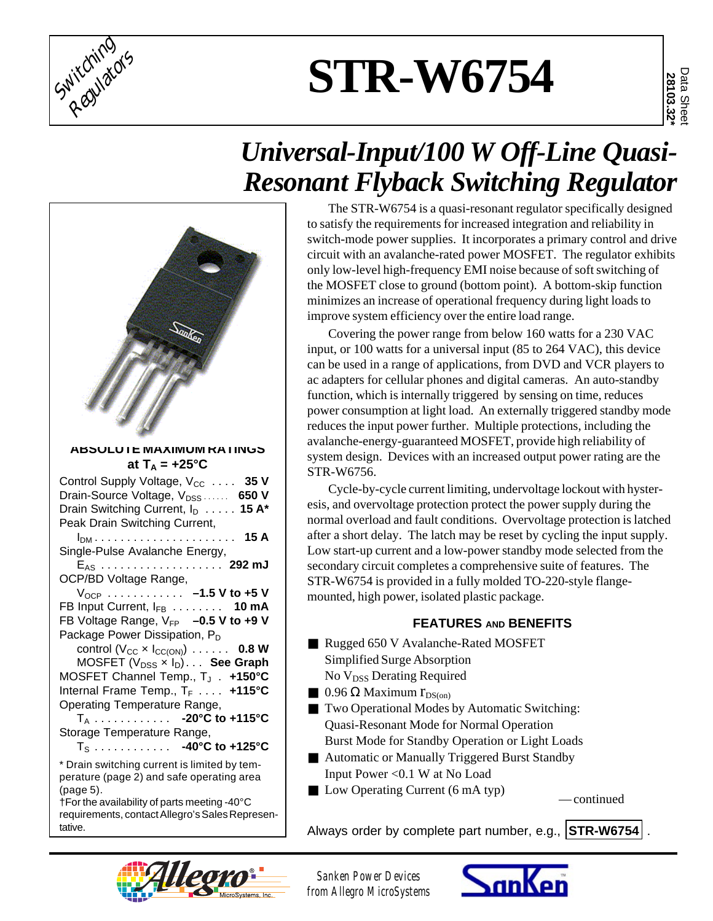

# **STR-W6754**

## *Universal-Input/100 W Off-Line Quasi-Resonant Flyback Switching Regulator*

| anke                                                                                                                                                                                                                                                                                                                                                                                                                                                                                                                                                                                                                                                                                                                                                                                                                              |
|-----------------------------------------------------------------------------------------------------------------------------------------------------------------------------------------------------------------------------------------------------------------------------------------------------------------------------------------------------------------------------------------------------------------------------------------------------------------------------------------------------------------------------------------------------------------------------------------------------------------------------------------------------------------------------------------------------------------------------------------------------------------------------------------------------------------------------------|
| ABSULU I E MAXIMUM KATINGS<br>at $T_A = +25^{\circ}C$                                                                                                                                                                                                                                                                                                                                                                                                                                                                                                                                                                                                                                                                                                                                                                             |
| Control Supply Voltage, V <sub>CC</sub> 35 V<br>Drain-Source Voltage, V <sub>DSS</sub> 650 V<br>Drain Switching Current, I <sub>D</sub> 15 A*<br>Peak Drain Switching Current,<br>. 15 A<br>$I_{DM}$<br>Single-Pulse Avalanche Energy,<br>E <sub>AS</sub> 292 mJ<br>OCP/BD Voltage Range,<br>$V_{OCP}$ -1.5 V to +5 V<br>FB Input Current, IFB 10 mA<br>FB Voltage Range, V <sub>FP</sub> -0.5 V to +9 V<br>Package Power Dissipation, P <sub>D</sub><br>control $(V_{CC} \times I_{CC(ON)}) \dots \dots$ 0.8 W<br>MOSFET $(V_{DSS} \times I_D) \ldots$ See Graph<br>MOSFET Channel Temp., T <sub>J</sub> . +150°C<br>Internal Frame Temp., T <sub>F</sub> +115°C<br>Operating Temperature Range,<br>$T_A$ - 20°C to +115°C<br>Storage Temperature Range,<br>$T_s$ 40°C to +125°C<br>* Drain switching current is limited by tem- |
| perature (page 2) and safe operating area<br>(page 5).                                                                                                                                                                                                                                                                                                                                                                                                                                                                                                                                                                                                                                                                                                                                                                            |

†For the availability of parts meeting -40°C requirements, contact Allegro's Sales Representative.

#### The STR-W6754 is a quasi-resonant regulator specifically designed to satisfy the requirements for increased integration and reliability in switch-mode power supplies. It incorporates a primary control and drive circuit with an avalanche-rated power MOSFET. The regulator exhibits only low-level high-frequency EMI noise because of soft switching of the MOSFET close to ground (bottom point). A bottom-skip function minimizes an increase of operational frequency during light loads to improve system efficiency over the entire load range.

Covering the power range from below 160 watts for a 230 VAC input, or 100 watts for a universal input (85 to 264 VAC), this device can be used in a range of applications, from DVD and VCR players to ac adapters for cellular phones and digital cameras. An auto-standby function, which is internally triggered by sensing on time, reduces power consumption at light load. An externally triggered standby mode reduces the input power further. Multiple protections, including the avalanche-energy-guaranteed MOSFET, provide high reliability of system design. Devices with an increased output power rating are the STR-W6756.

Cycle-by-cycle current limiting, undervoltage lockout with hysteresis, and overvoltage protection protect the power supply during the normal overload and fault conditions. Overvoltage protection is latched after a short delay. The latch may be reset by cycling the input supply. Low start-up current and a low-power standby mode selected from the secondary circuit completes a comprehensive suite of features. The STR-W6754 is provided in a fully molded TO-220-style flangemounted, high power, isolated plastic package.

## **FEATURES AND BENEFITS**

- Rugged 650 V Avalanche-Rated MOSFET Simplified Surge Absorption No V<sub>DSS</sub> Derating Required
- **0.96 Ω Maximum r**<sub>DS(on)</sub>
- Two Operational Modes by Automatic Switching: Quasi-Resonant Mode for Normal Operation Burst Mode for Standby Operation or Light Loads
- Automatic or Manually Triggered Burst Standby Input Power <0.1 W at No Load
- Low Operating Current (6 mA typ) continued

Always order by complete part number, e.g., **STR-W6754** .



*Sanken Power Devices from Allegro MicroSystems*

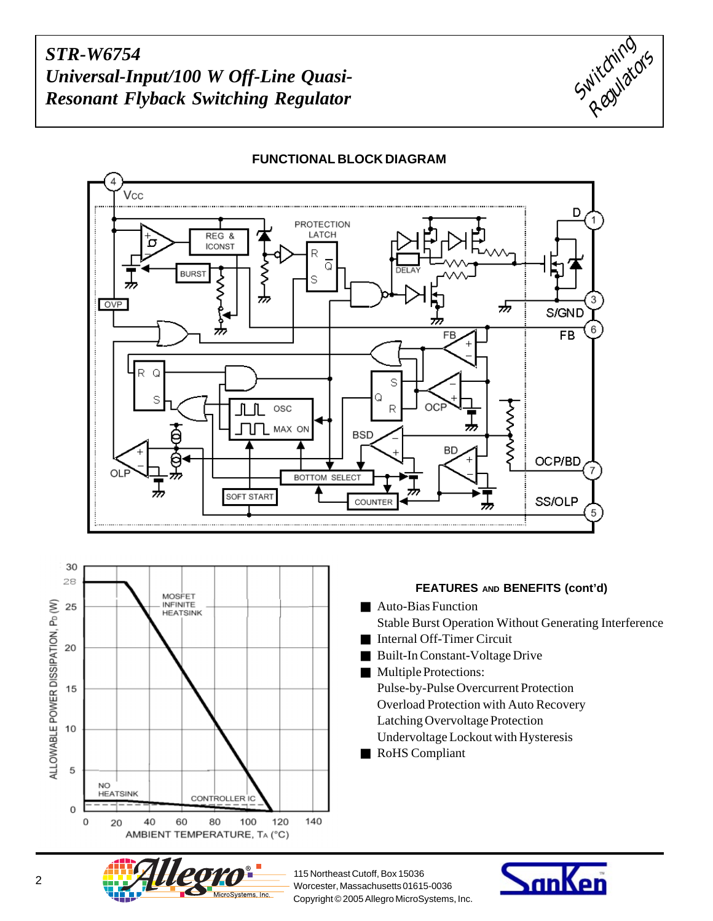



#### **FUNCTIONAL BLOCK DIAGRAM**



#### **FEATURES AND BENEFITS (cont'd)**

- Auto-Bias Function Stable Burst Operation Without Generating Interference
- Internal Off-Timer Circuit
- Built-In Constant-Voltage Drive
- Multiple Protections: Pulse-by-Pulse Overcurrent Protection Overload Protection with Auto Recovery Latching Overvoltage Protection Undervoltage Lockout with Hysteresis
- RoHS Compliant



115 Northeast Cutoff, Box 15036 Copyright © 2005 Allegro MicroSystems, Inc.

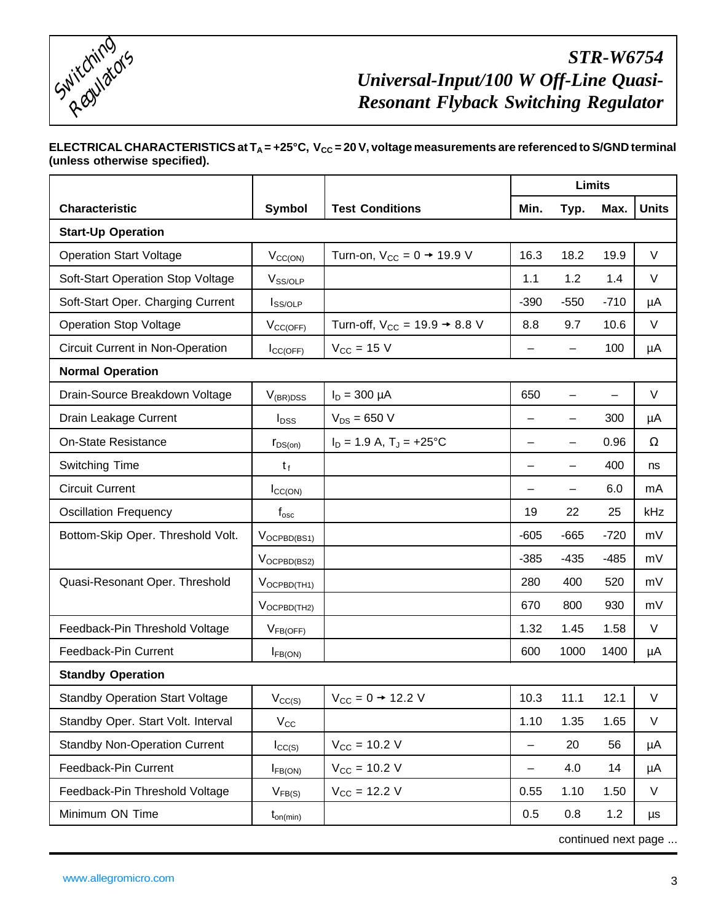

#### ELECTRICAL CHARACTERISTICS at T<sub>A</sub> = +25°C, V<sub>CC</sub> = 20 V, voltage measurements are referenced to S/GND terminal **(unless otherwise specified).**

|                                        |                                      |                                             | <b>Limits</b>            |        |        |              |  |  |  |
|----------------------------------------|--------------------------------------|---------------------------------------------|--------------------------|--------|--------|--------------|--|--|--|
| <b>Characteristic</b>                  | <b>Symbol</b>                        | <b>Test Conditions</b>                      | Min.                     | Typ.   | Max.   | <b>Units</b> |  |  |  |
| <b>Start-Up Operation</b>              |                                      |                                             |                          |        |        |              |  |  |  |
| <b>Operation Start Voltage</b>         | $V_{CC(ON)}$                         | Turn-on, $V_{CC} = 0 \rightarrow 19.9$ V    | 16.3                     | 18.2   | 19.9   | $\vee$       |  |  |  |
| Soft-Start Operation Stop Voltage      | V <sub>SS/OLP</sub>                  |                                             | 1.1                      | 1.2    | 1.4    | $\vee$       |  |  |  |
| Soft-Start Oper. Charging Current      | $I_{SS/OLP}$                         |                                             | $-390$                   | $-550$ | $-710$ | μA           |  |  |  |
| <b>Operation Stop Voltage</b>          | $V_{CC(OFF)}$                        | Turn-off, $V_{CC} = 19.9 \rightarrow 8.8 V$ | 8.8                      | 9.7    | 10.6   | $\vee$       |  |  |  |
| Circuit Current in Non-Operation       | $I_{CC(OFF)}$                        | $V_{CC}$ = 15 V                             | $\qquad \qquad -$        |        | 100    | μA           |  |  |  |
| <b>Normal Operation</b>                |                                      |                                             |                          |        |        |              |  |  |  |
| Drain-Source Breakdown Voltage         | $V_{(BR)DSS}$                        | $I_D = 300 \mu A$                           | 650                      |        |        | $\vee$       |  |  |  |
| Drain Leakage Current                  | $I_{DSS}$                            | $V_{DS} = 650 V$                            | -                        |        | 300    | μA           |  |  |  |
| <b>On-State Resistance</b>             | $r_{DS(on)}$                         | $I_D = 1.9 A$ , $T_J = +25$ °C              | $\overline{\phantom{0}}$ | —      | 0.96   | $\Omega$     |  |  |  |
| Switching Time                         | $t_f$                                |                                             |                          |        | 400    | ns           |  |  |  |
| <b>Circuit Current</b>                 | $I_{CC(ON)}$                         |                                             | —                        | -      | 6.0    | mA           |  |  |  |
| <b>Oscillation Frequency</b>           | $\boldsymbol{\mathsf{f}}_\text{osc}$ |                                             | 19                       | 22     | 25     | kHz          |  |  |  |
| Bottom-Skip Oper. Threshold Volt.      | $V_{OCPBD(BS1)}$                     |                                             | $-605$                   | $-665$ | $-720$ | mV           |  |  |  |
|                                        | $V_{OCPBD(BS2)}$                     |                                             | $-385$                   | $-435$ | $-485$ | mV           |  |  |  |
| Quasi-Resonant Oper. Threshold         | $V_{OCPBD(TH1)}$                     |                                             | 280                      | 400    | 520    | mV           |  |  |  |
|                                        | $V_{OCPBD(TH2)}$                     |                                             | 670                      | 800    | 930    | mV           |  |  |  |
| Feedback-Pin Threshold Voltage         | $V_{FB(OFF)}$                        |                                             | 1.32                     | 1.45   | 1.58   | V            |  |  |  |
| Feedback-Pin Current                   | $I_{FB(ON)}$                         |                                             | 600                      | 1000   | 1400   | μA           |  |  |  |
| <b>Standby Operation</b>               |                                      |                                             |                          |        |        |              |  |  |  |
| <b>Standby Operation Start Voltage</b> | $V_{CC(S)}$                          | $V_{CC} = 0 \rightarrow 12.2 V$             | 10.3                     | 11.1   | 12.1   | $\vee$       |  |  |  |
| Standby Oper. Start Volt. Interval     | $V_{\rm CC}$                         |                                             | 1.10                     | 1.35   | 1.65   | V            |  |  |  |
| <b>Standby Non-Operation Current</b>   | $I_{CC(S)}$                          | $V_{CC} = 10.2 V$                           | —                        | 20     | 56     | μA           |  |  |  |
| Feedback-Pin Current                   | $I_{FB(ON)}$                         | $V_{\text{CC}} = 10.2 \text{ V}$            | $\overline{\phantom{0}}$ | 4.0    | 14     | μA           |  |  |  |
| Feedback-Pin Threshold Voltage         | $V_{FB(S)}$                          | $V_{CC}$ = 12.2 V                           | 0.55                     | 1.10   | 1.50   | V            |  |  |  |
| Minimum ON Time                        | $t_{on(min)}$                        |                                             | 0.5                      | 0.8    | 1.2    | μs           |  |  |  |

continued next page ...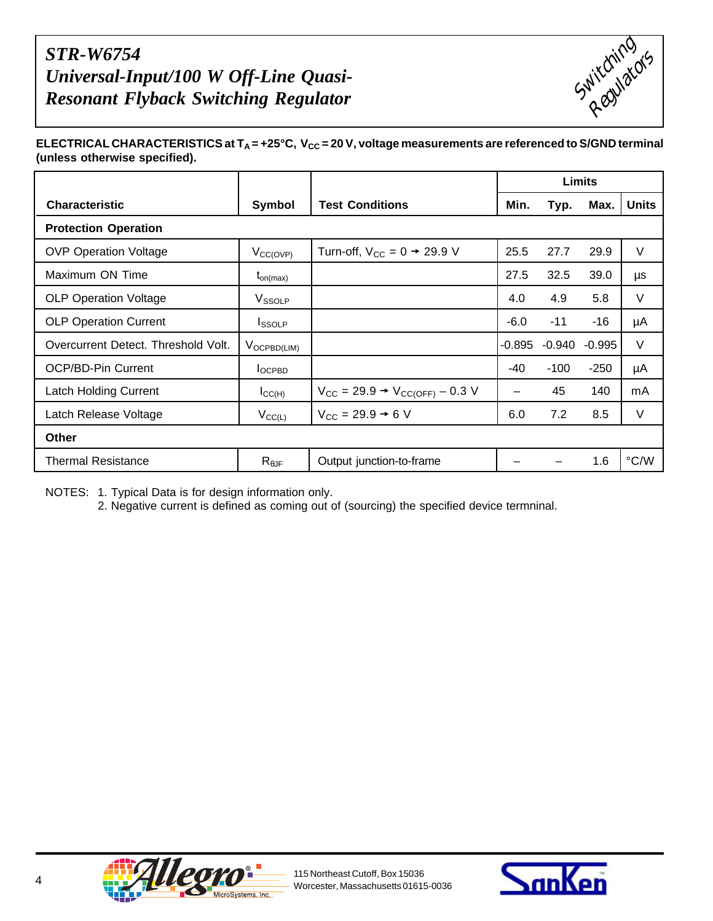

ELECTRICAL CHARACTERISTICS at T<sub>A</sub> = +25°C, V<sub>CC</sub> = 20 V, voltage measurements are referenced to S/GND terminal **(unless otherwise specified).**

|                                     |                        |                                                               | Limits |          |          |               |
|-------------------------------------|------------------------|---------------------------------------------------------------|--------|----------|----------|---------------|
| <b>Characteristic</b>               | Symbol                 | <b>Test Conditions</b>                                        | Min.   | Typ.     | Max.     | <b>Units</b>  |
| <b>Protection Operation</b>         |                        |                                                               |        |          |          |               |
| <b>OVP Operation Voltage</b>        | $V_{\text{CC(OVP)}}$   | Turn-off, $V_{CC} = 0 \rightarrow 29.9 V$                     | 25.5   | 27.7     | 29.9     | V             |
| Maximum ON Time                     | $t_{on(max)}$          |                                                               | 27.5   | 32.5     | 39.0     | μs            |
| <b>OLP Operation Voltage</b>        | V <sub>SSOLP</sub>     |                                                               | 4.0    | 4.9      | 5.8      | V             |
| <b>OLP Operation Current</b>        | <b>I</b> ssolp         |                                                               | $-6.0$ | $-11$    | $-16$    | μA            |
| Overcurrent Detect. Threshold Volt. | $V_{OCPBD(LIM)}$       |                                                               | -0.895 | $-0.940$ | $-0.995$ | $\vee$        |
| <b>OCP/BD-Pin Current</b>           | $I_{OCPBD}$            |                                                               | $-40$  | $-100$   | $-250$   | μA            |
| <b>Latch Holding Current</b>        | $I_{\text{CC(H)}}$     | $V_{\text{CC}} = 29.9 \rightarrow V_{\text{CC(OFF)}} - 0.3 V$ | —      | 45       | 140      | mA            |
| Latch Release Voltage               | $V_{CC(L)}$            | $V_{\text{CC}} = 29.9 \rightarrow 6 V$                        | 6.0    | 7.2      | 8.5      | V             |
| <b>Other</b>                        |                        |                                                               |        |          |          |               |
| <b>Thermal Resistance</b>           | $R_{\theta \text{JF}}$ | Output junction-to-frame                                      |        |          | 1.6      | $\degree$ C/W |

NOTES: 1. Typical Data is for design information only.

2. Negative current is defined as coming out of (sourcing) the specified device termninal.



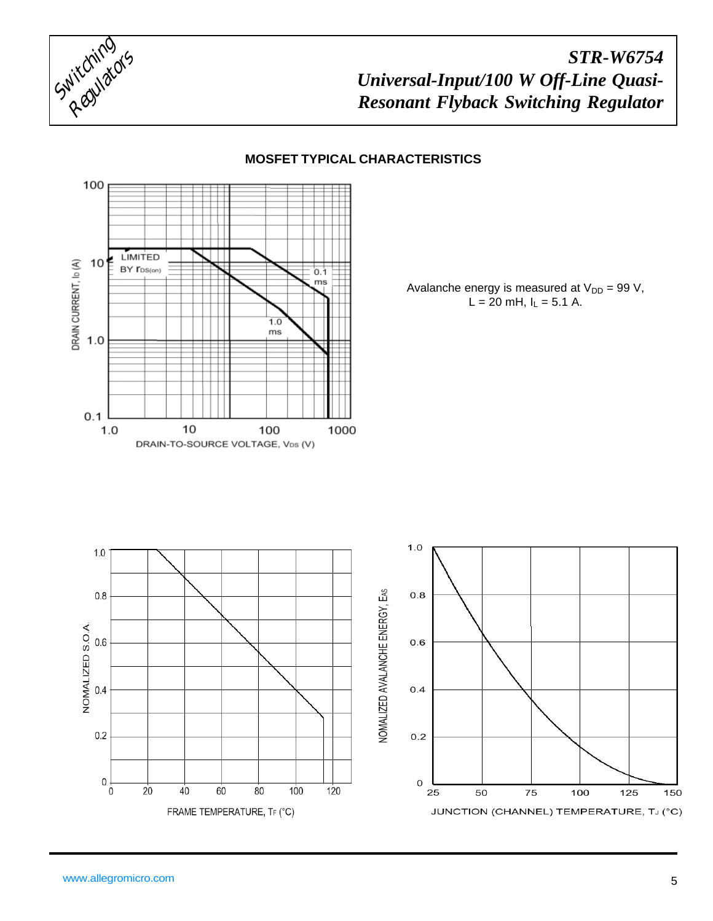



#### **MOSFET TYPICAL CHARACTERISTICS**

Avalanche energy is measured at  $V_{DD} = 99 V$ ,  $L = 20$  mH,  $I_L = 5.1$  A.

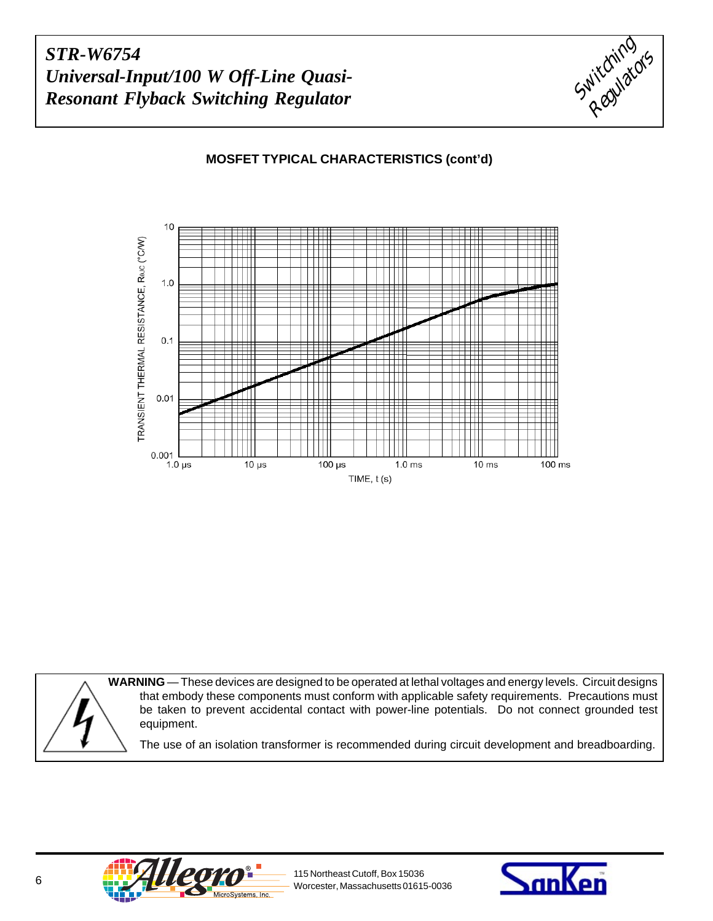

### **MOSFET TYPICAL CHARACTERISTICS (cont'd)**



**WARNING** — These devices are designed to be operated at lethal voltages and energy levels. Circuit designs that embody these components must conform with applicable safety requirements. Precautions must be taken to prevent accidental contact with power-line potentials. Do not connect grounded test equipment. The use of an isolation transformer is recommended during circuit development and breadboarding.



115 Northeast Cutoff, Box 15036

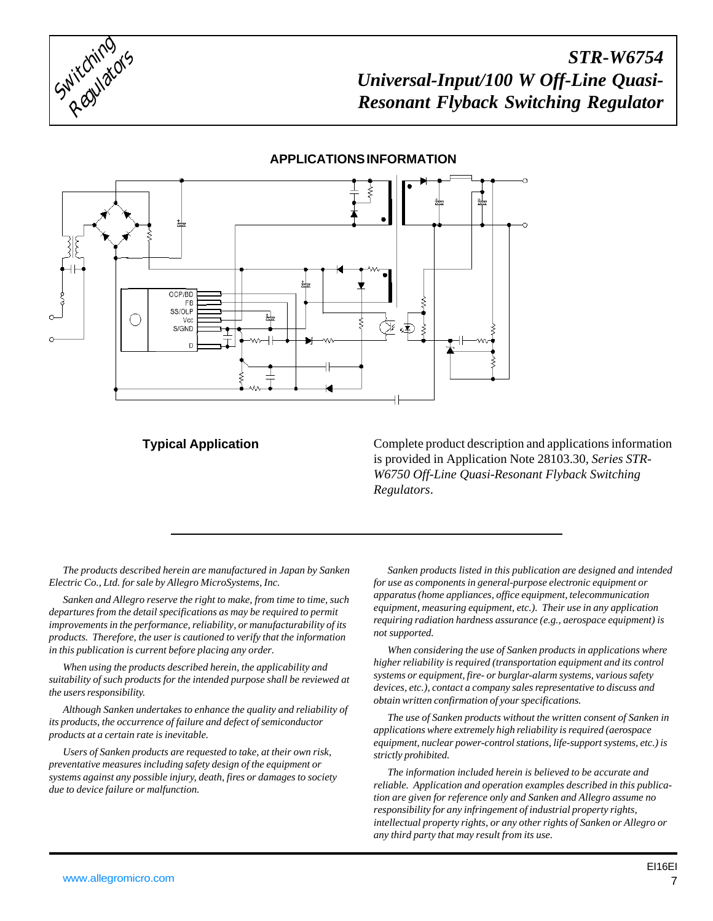

#### **APPLICATIONS INFORMATION**



#### **Typical Application**

Complete product description and applications information is provided in Application Note 28103.30, *Series STR-W6750 Off-Line Quasi-Resonant Flyback Switching Regulators*.

*The products described herein are manufactured in Japan by Sanken Electric Co., Ltd. for sale by Allegro MicroSystems, Inc.*

*Sanken and Allegro reserve the right to make, from time to time, such departures from the detail specifications as may be required to permit improvements in the performance, reliability, or manufacturability of its products. Therefore, the user is cautioned to verify that the information in this publication is current before placing any order.*

*When using the products described herein, the applicability and suitability of such products for the intended purpose shall be reviewed at the users responsibility.*

*Although Sanken undertakes to enhance the quality and reliability of its products, the occurrence of failure and defect of semiconductor products at a certain rate is inevitable.*

*Users of Sanken products are requested to take, at their own risk, preventative measures including safety design of the equipment or systems against any possible injury, death, fires or damages to society due to device failure or malfunction.*

*Sanken products listed in this publication are designed and intended for use as components in general-purpose electronic equipment or apparatus (home appliances, office equipment, telecommunication equipment, measuring equipment, etc.). Their use in any application requiring radiation hardness assurance (e.g., aerospace equipment) is not supported.*

*When considering the use of Sanken products in applications where higher reliability is required (transportation equipment and its control systems or equipment, fire- or burglar-alarm systems, various safety devices, etc.), contact a company sales representative to discuss and obtain written confirmation of your specifications.*

*The use of Sanken products without the written consent of Sanken in applications where extremely high reliability is required (aerospace equipment, nuclear power-control stations, life-support systems, etc.) is strictly prohibited.*

*The information included herein is believed to be accurate and reliable. Application and operation examples described in this publication are given for reference only and Sanken and Allegro assume no responsibility for any infringement of industrial property rights, intellectual property rights, or any other rights of Sanken or Allegro or any third party that may result from its use.*